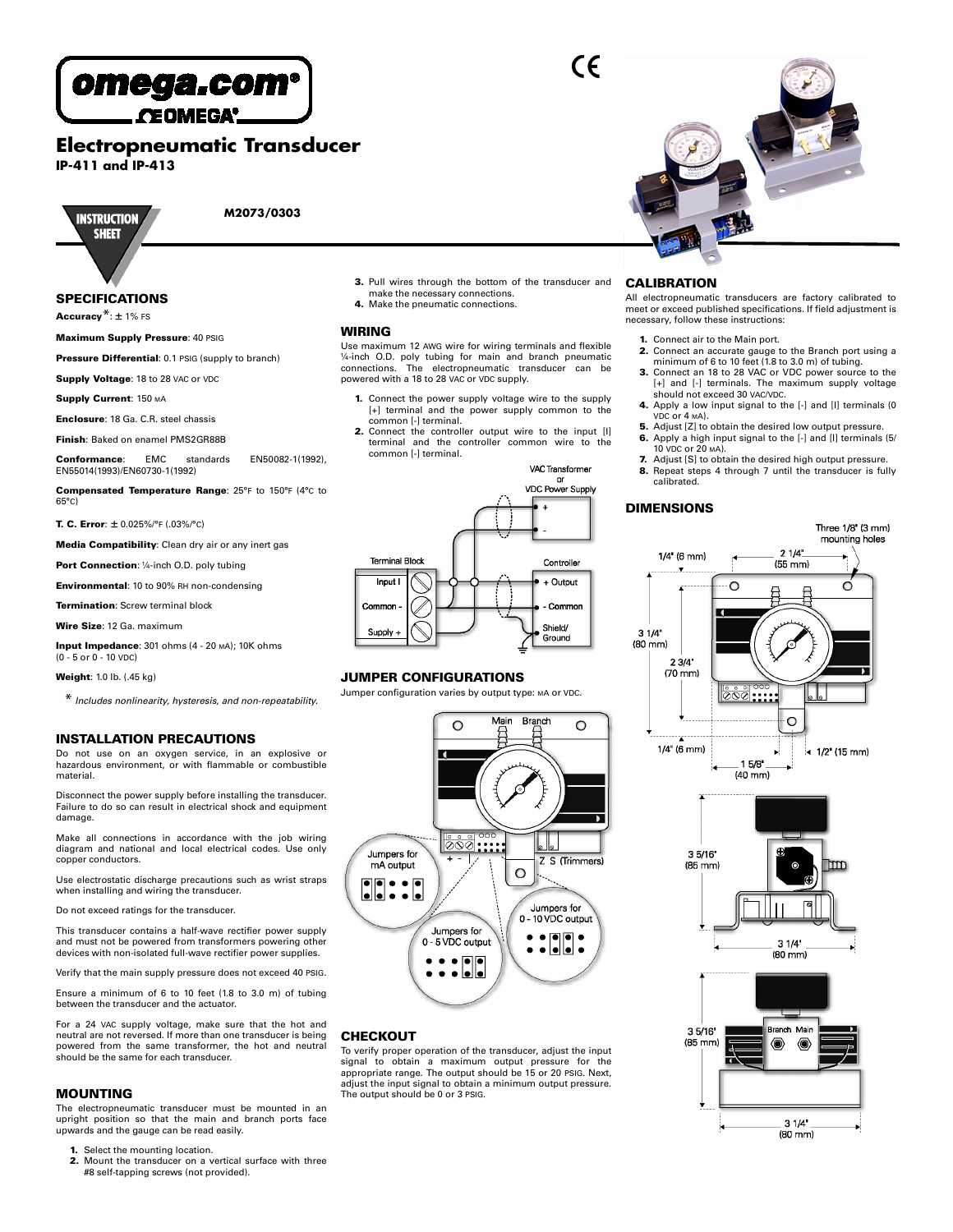

**CEOMEGA'** 

**Electropneumatic Transducer**

**IP-411 and IP-413**



**M2073/0303**

# **SPECIFICATIONS**

**Accuracy**\*: ± 1% FS

**Maximum Supply Pressure**: 40 PSIG

**Pressure Differential**: 0.1 PSIG (supply to branch)

**Supply Voltage: 18 to 28 VAC or VDC** 

**Supply Current**: 150 MA

**Enclosure**: 18 Ga. C.R. steel chassis

**Finish**: Baked on enamel PMS2GR88B

**Conformance**: EMC standards EN50082-1(1992), EN55014(1993)/EN60730-1(1992)

**Compensated Temperature Range**: 25°F to 150°F (4°C to 65°C)

**T. C. Error**: ± 0.025%/°F (.03%/°C)

**Media Compatibility**: Clean dry air or any inert gas

**Port Connection**: ¼-inch O.D. poly tubing

**Environmental**: 10 to 90% RH non-condensing

**Termination**: Screw terminal block

**Wire Size**: 12 Ga. maximum

**Input Impedance**: 301 ohms (4 - 20 MA); 10K ohms - 5 or 0 - 10 VDC

**Weight**: 1.0 lb. (.45 kg)

\* *Includes nonlinearity, hysteresis, and non-repeatability.*

#### **INSTALLATION PRECAUTIONS**

Do not use on an oxygen service, in an explosive or hazardous environment, or with flammable or combustible material.

Disconnect the power supply before installing the transducer. Failure to do so can result in electrical shock and equipment damage.

Make all connections in accordance with the job wiring diagram and national and local electrical codes. Use only copper conductors.

Use electrostatic discharge precautions such as wrist straps when installing and wiring the transducer.

Do not exceed ratings for the transducer.

This transducer contains a half-wave rectifier power supply and must not be powered from transformers powering other devices with non-isolated full-wave rectifier power supplies.

Verify that the main supply pressure does not exceed 40 PSIG.

Ensure a minimum of 6 to 10 feet (1.8 to 3.0 m) of tubing between the transducer and the actuator.

For a 24 VAC supply voltage, make sure that the hot and neutral are not reversed. If more than one transducer is being powered from the same transformer, the hot and neutral should be the same for each transducer.

#### **MOUNTING**

The electropneumatic transducer must be mounted in an upright position so that the main and branch ports face upwards and the gauge can be read easily.

Select the mounting location.

**2.** Mount the transducer on a vertical surface with three #8 self-tapping screws (not provided).

**3.** Pull wires through the bottom of the transducer and make the necessary connections. **4.** Make the pneumatic connections.

#### **WIRING**

Use maximum 12 AWG wire for wiring terminals and flexible ¼-inch O.D. poly tubing for main and branch pneumatic connections. The electropneumatic transducer can be powered with a 18 to 28 VAC or VDC supply.

- **1.** Connect the power supply voltage wire to the supply [+] terminal and the power supply common to the common [-] terminal.
- **2.** Connect the controller output wire to the input [I] terminal and the controller common wire to the common [-] terminal.

VAC Transformer

 $\epsilon$ 



#### **JUMPER CONFIGURATIONS**

Jumper configuration varies by output type: MA or VDC.



### **CHECKOUT**

To verify proper operation of the transducer, adjust the input signal to obtain a maximum output pressure for the appropriate range. The output should be 15 or 20 PSIG. Next, adjust the input signal to obtain a minimum output pressure. The output should be 0 or 3 PSIG.

#### **CALIBRATION**

All electropneumatic transducers are factory calibrated to meet or exceed published specifications. If field adjustment is necessary, follow these instructions:

- **1.** Connect air to the Main port.
- **2.** Connect an accurate gauge to the Branch port using a minimum of 6 to 10 feet (1.8 to 3.0 m) of tubing.
- **3.** Connect an 18 to 28 VAC or VDC power source to the [+] and [-] terminals. The maximum supply voltage should not exceed 30 VAC/VDC.
- **4.** Apply a low input signal to the [-] and [I] terminals (0 VDC or 4 MA).
- **5.** Adjust [Z] to obtain the desired low output pressure.
- **6.** Apply a high input signal to the [-] and [I] terminals (5/ 10 VDC or 20 MA).
- **7.** Adjust [S] to obtain the desired high output pressure. **8.** Repeat steps 4 through 7 until the transducer is fully calibrated.

#### **DIMENSIONS**

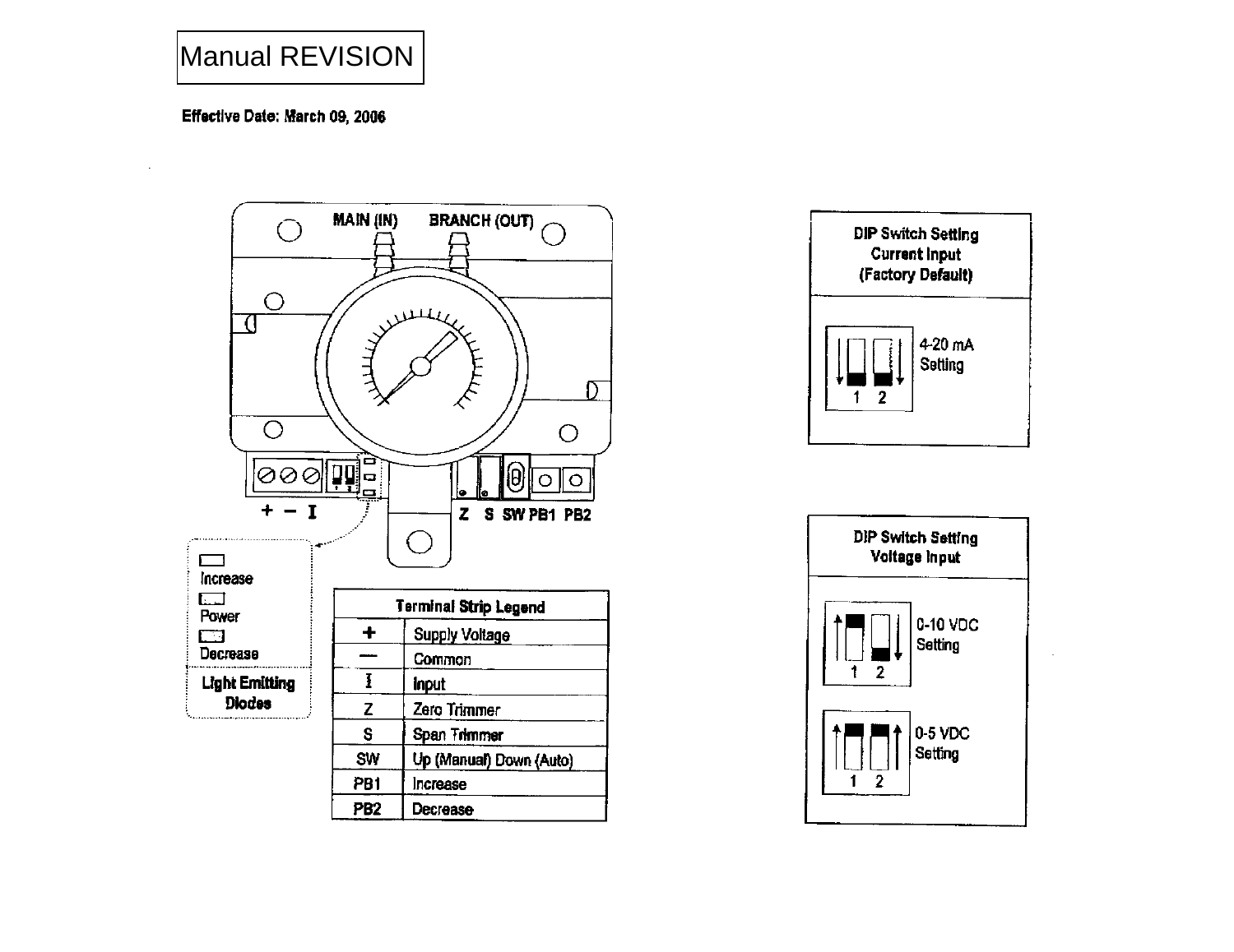# Manual REVISION

# Effective Date: March 09, 2006